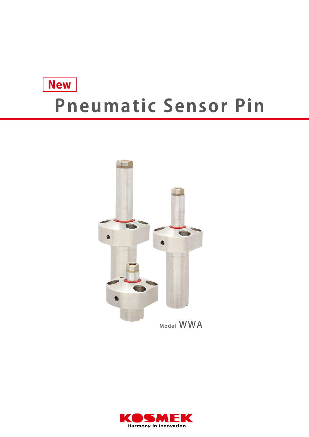# **New Pneumatic Sensor Pin**



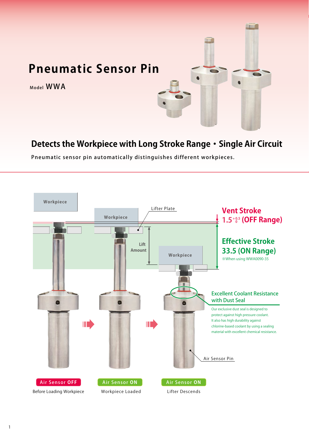

## **Detects the Workpiece with Long Stroke Range・Single Air Circuit**

Pneumatic sensor pin automatically distinguishes different workpieces.

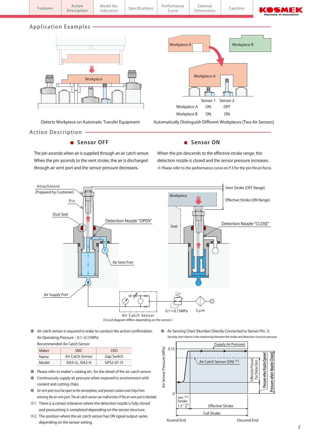

#### Application Examples



Action Description

#### Sensor OFF

The pin ascends when air is supplied through an air catch sensor. When the pin ascends to the vent stroke, the air is discharged through air vent port and the sensor pressure decreases.



Detects Workpiece on Automatic Transfer Equipment Automatically Distinguish Different Workpieces (Two Air Sensors)

#### Sensor ON

When the pin descends to the effective stroke range, the detection nozzle is closed and the sensor pressure increases. ※ Please refer to the performance curve on P.3 for the pin thrust force.



● Air catch sensor is required in order to conduct the action confirmation. Air Operating Pressure: 0.1~0.15MPa

Recommended Air Catch Sensor

| Maker | <b>SMC</b>       | CKD.       |
|-------|------------------|------------|
| Name  | Air Catch Sensor | Gap Switch |
| Model | ISA3-G, ISA2-H   | GPS2-07-15 |

- Please refer to maker's catalog etc. for the detail of the air catch sensor.
- Continuously supply air pressure when exposed to environment with coolant and cutting chips.
- Air vent port must be open to the atmosphere, and prevent coolant and chips from entering the air vent port. The air catch sensor can malfunction if the air vent port is blocked.
- ※1. There is a certain tolerance where the detection nozzle is fully closed and pressurising is completed depending on the sensor structure.
- ※2. The position where the air catch sensor has ON signal output varies depending on the sensor setting.

● Air Sensing Chart (Number Directly Connected to Sensor Pin: 1) Sensing chart shown is the relationship between the stroke and detection circuit air pressure.

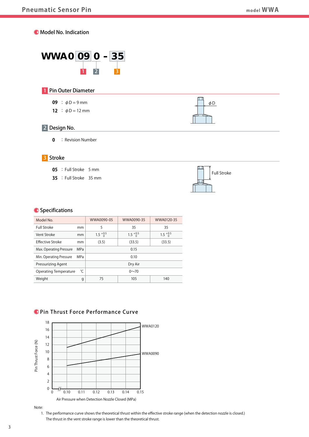



#### 1 Pin Outer Diameter

- **09** :  $\phi D = 9$  mm
- **12** :  $\phi$ D = 12 mm



## 2 Design No.

**0** : Revision Number

#### 3 Stroke

- **05** : Full Stroke 5 mm
- **35** : Full Stroke 35 mm



#### **O** Specifications

| Model No.                   |    | WWA0090-05       | WWA0090-35       | WWA0120-35       |
|-----------------------------|----|------------------|------------------|------------------|
| Full Stroke                 | mm |                  | 35               | 35               |
| Vent Stroke                 | mm | $1.5^{+0.5}_{0}$ | $1.5^{+0.5}_{0}$ | $1.5^{+0.5}_{0}$ |
| <b>Effective Stroke</b>     | mm | (3.5)            | (33.5)           | (33.5)           |
| Max. Operating Pressure MPa |    |                  | 0.15             |                  |
| Min. Operating Pressure MPa |    |                  | 0.10             |                  |
| <b>Pressurizing Agent</b>   |    |                  | Dry Air          |                  |
| Operating Temperature $C$   |    |                  | $0 - 70$         |                  |
| Weight                      |    | 75               | 105              | 140              |

### O Pin Thrust Force Performance Curve





 1. The performance curve shows the theoretical thrust within the effective stroke range (when the detection nozzle is closed.) The thrust in the vent stroke range is lower than the theoretical thrust.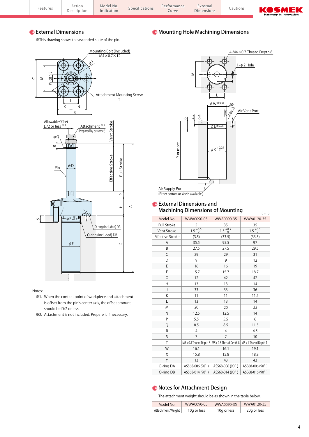|  | KOSMEK<br>Harmony in Innovation | Cautions | External<br>Dimensions | Performance<br>Curve | Specifications | Model No.<br>Indication | $-+1$<br>וטווטו<br>$\sim$ $\sim$ $\sim$ $\sim$<br>Description | -eatures |  |
|--|---------------------------------|----------|------------------------|----------------------|----------------|-------------------------|---------------------------------------------------------------|----------|--|
|--|---------------------------------|----------|------------------------|----------------------|----------------|-------------------------|---------------------------------------------------------------|----------|--|

#### **C** External Dimensions

※This drawing shows the ascended state of the pin.



#### Notes:

- ※1. When the contact point of workpiece and attachment is offset from the pin's center axis, the offset amount should be D/2 or less.
- ※2. Attachment is not included. Prepare it if necessary.



Mounting Hole Machining Dimensions

#### **C** External Dimensions and Machining Dimensions of Mounting

| Machining Dimensions of Mounting<br>(mm) |                  |                                                                            |                  |  |  |  |  |  |
|------------------------------------------|------------------|----------------------------------------------------------------------------|------------------|--|--|--|--|--|
| Model No.                                | WWA0090-05       | WWA0090-35                                                                 | WWA0120-35       |  |  |  |  |  |
| <b>Full Stroke</b>                       | 5                | 35                                                                         | 35               |  |  |  |  |  |
| Vent Stroke                              | $1.5^{+0.5}_{0}$ | $1.5^{+0.5}_{0}$                                                           | $1.5^{+0.5}_{0}$ |  |  |  |  |  |
| <b>Effective Stroke</b>                  | (3.5)            | (33.5)                                                                     | (33.5)           |  |  |  |  |  |
| Α                                        | 35.5             | 95.5                                                                       | 97               |  |  |  |  |  |
| B                                        | 27.5             | 27.5                                                                       | 29.5             |  |  |  |  |  |
| C                                        | 29               | 29                                                                         | 31               |  |  |  |  |  |
| D                                        | 9                | 9                                                                          | 12               |  |  |  |  |  |
| E                                        | 16               | 16                                                                         | 19               |  |  |  |  |  |
| F                                        | 15.7             | 15.7                                                                       | 18.7             |  |  |  |  |  |
| G                                        | 12               | 42                                                                         | 42               |  |  |  |  |  |
| H                                        | 13               | 13                                                                         | 14               |  |  |  |  |  |
| J                                        | 33               | 33                                                                         | 36               |  |  |  |  |  |
| K                                        | 11               | 11                                                                         | 11.5             |  |  |  |  |  |
| L                                        | 13               | 13                                                                         | 14               |  |  |  |  |  |
| M                                        | 20               | 20                                                                         | 22               |  |  |  |  |  |
| N                                        | 12.5             | 12.5                                                                       | 14               |  |  |  |  |  |
| P                                        | 5.5              | 5.5                                                                        | 6                |  |  |  |  |  |
| Q                                        | 8.5              | 8.5                                                                        | 11.5             |  |  |  |  |  |
| R                                        | 4                | 4                                                                          | 4.5              |  |  |  |  |  |
| S                                        | $\overline{7}$   | $\overline{7}$                                                             | 10               |  |  |  |  |  |
| T                                        |                  | M5 x 0.8 Thread Depth 8   M5 x 0.8 Thread Depth 8   M6 x 1 Thread Depth 11 |                  |  |  |  |  |  |
| W                                        | 16.1             | 16.1                                                                       | 19.1             |  |  |  |  |  |
| X                                        | 15.8             | 15.8                                                                       | 18.8             |  |  |  |  |  |
| Υ                                        | 13               | 43                                                                         | 43               |  |  |  |  |  |
| O-ring DA                                | AS568-006 (90°)  | AS568-006 (90°)                                                            | AS568-006 (90°)  |  |  |  |  |  |
| O-ring DB                                | AS568-014 (90°)  | AS568-014 (90°)                                                            | AS568-016 (90°)  |  |  |  |  |  |

#### Notes for Attachment Design

The attachment weight should be as shown in the table below.

| Model No.         | WWA0090-05  | WWA0090-35  | WWA0120-35  |
|-------------------|-------------|-------------|-------------|
| Attachment Weight | 10g or less | 10g or less | 20g or less |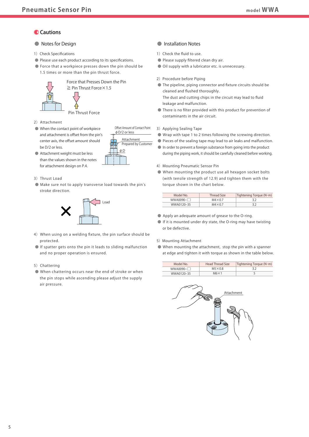#### **Cautions**

#### ● Notes for Design

- 1) Check Specifications
- Please use each product according to its specifications.
- Force that a workpiece presses down the pin should be 1.5 times or more than the pin thrust force.



- 2) Attachment
- When the contact point of workpiece and attachment is offset from the pin's center axis, the offset amount should be D/2 or less.
- Attachment weight must be less than the values shown in the notes for attachment design on P.4.
- 3) Thrust Load
- Make sure not to apply transverse load towards the pin's stroke direction.

φD

φD/2 or less Offset Amount of Contact Point

Attachment

Prepared by Customer



- 4) When using on a welding fixture, the pin surface should be protected.
- If spatter gets onto the pin it leads to sliding malfunction and no proper operation is ensured.
- 5) Chattering
- When chattering occurs near the end of stroke or when the pin stops while ascending please adjust the supply air pressure.

#### ● Installation Notes

- 1) Check the fluid to use.
- Please supply filtered clean dry air.
- Oil supply with a lubricator etc. is unnecessary.
- 2) Procedure before Piping
- The pipeline, piping connector and fixture circuits should be cleaned and flushed thoroughly. The dust and cutting chips in the circuit may lead to fluid leakage and malfunction.
- There is no filter provided with this product for prevention of contaminants in the air circuit.
- 3) Applying Sealing Tape
- Wrap with tape 1 to 2 times following the screwing direction.
- Pieces of the sealing tape may lead to air leaks and malfunction.
- In order to prevent a foreign substance from going into the product during the piping work, it should be carefully cleaned before working.
- 4) Mounting Pneumatic Sensor Pin
- When mounting the product use all hexagon socket bolts (with tensile strength of 12.9) and tighten them with the torque shown in the chart below.

| Model No.        | Thread Size    | Tightening Torque ( $N \cdot m$ ) |  |  |  |
|------------------|----------------|-----------------------------------|--|--|--|
| $WWA0090 - \Box$ | $M4\times0.7$  |                                   |  |  |  |
| WWA0120-35       | $M4\times 0.7$ |                                   |  |  |  |

- Apply an adequate amount of grease to the O-ring.
- If it is mounted under dry state, the O-ring may have twisting or be defective.
- 5) Mounting Attachment
- When mounting the attachment, stop the pin with a spanner at edge and tighten it with torque as shown in the table below.

| Model No         | <b>Head Thread Size</b> | Tightening Torque (N·m) |
|------------------|-------------------------|-------------------------|
| $WWA0090 - \Box$ | $M5\times0.8$           |                         |
| WWA0120-35       | $M6 \times 1$           |                         |

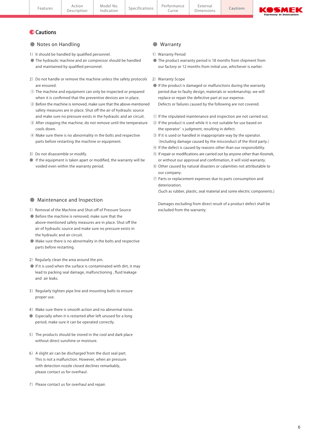| Action<br>Description | Model No.<br>Indication | Specifications | Performance<br>1.1111<br>⊾uiv⊬ | ∟xterna'<br>nensions | Cautions | <b>MAGNET</b><br>Æ<br>$\geq$ $\bf{M}$ $\bf{L}$ $\bf$<br><u>and the set of the set of the set of the set of the set of the set of the set of the set of the set of the set of the set of the set of the set of the set of the set of the set of the set of the set of the set of the set </u><br><b>Harmony in Innovation</b> |
|-----------------------|-------------------------|----------------|--------------------------------|----------------------|----------|------------------------------------------------------------------------------------------------------------------------------------------------------------------------------------------------------------------------------------------------------------------------------------------------------------------------------|
|                       |                         |                |                                |                      |          |                                                                                                                                                                                                                                                                                                                              |

#### **O** Cautions

#### ● Notes on Handling

- 1) It should be handled by qualified personnel.
- The hydraulic machine and air compressor should be handled and maintained by qualified personnel.
- 2) Do not handle or remove the machine unless the safety protocols are ensured.
- ① The machine and equipment can only be inspected or prepared when it is confirmed that the preventive devices are in place.
- ② Before the machine is removed, make sure that the above-mentioned safety measures are in place. Shut off the air of hydraulic source and make sure no pressure exists in the hydraulic and air circuit.
- ③ After stopping the machine, do not remove until the temperature cools down.
- ④ Make sure there is no abnormality in the bolts and respective parts before restarting the machine or equipment.
- 3) Do not disassemble or modify.
- If the equipment is taken apart or modified, the warranty will be voided even within the warranty period.

#### ● Maintenance and Inspection

- 1) Removal of the Machine and Shut-off of Pressure Source
- Before the machine is removed, make sure that the above-mentioned safety measures are in place. Shut off the air of hydraulic source and make sure no pressure exists in the hydraulic and air circuit.
- Make sure there is no abnormality in the bolts and respective parts before restarting.
- 2) Regularly clean the area around the pin.
- If it is used when the surface is contaminated with dirt, it may lead to packing seal damage, malfunctioning , fluid leakage and air leaks.
- 3) Regularly tighten pipe line and mounting bolts to ensure proper use.
- 4) Make sure there is smooth action and no abnormal noise.
- Especially when it is restarted after left unused for a long period, make sure it can be operated correctly.
- 5) The products should be stored in the cool and dark place without direct sunshine or moisture.
- 6) A slight air can be discharged from the dust seal part. This is not a malfunction. However, when air pressure with detection nozzle closed declines remarkably, please contact us for overhaul.
- 7) Please contact us for overhaul and repair.

#### ● Warranty

- 1) Warranty Period
- The product warranty period is 18 months from shipment from our factory or 12 months from initial use, whichever is earlier.
- 2) Warranty Scope
- If the product is damaged or malfunctions during the warranty period due to faulty design, materials or workmanship, we will replace or repair the defective part at our expense. Defects or failures caused by the following are not covered.
- ① If the stipulated maintenance and inspection are not carried out.
- ② If the product is used while it is not suitable for use based on the operator' s judgment, resulting in defect.
- ③ If it is used or handled in inappropriate way by the operator. (Including damage caused by the misconduct of the third party.)
- ④ If the defect is caused by reasons other than our responsibility.
- ⑤ If repair or modifications are carried out by anyone other than Kosmek, or without our approval and confirmation, it will void warranty.
- ⑥ Other caused by natural disasters or calamities not attributable to our company.
- ⑦ Parts or replacement expenses due to parts consumption and deterioration.

(Such as rubber, plastic, seal material and some electric components.)

 Damages excluding from direct result of a product defect shall be excluded from the warranty.